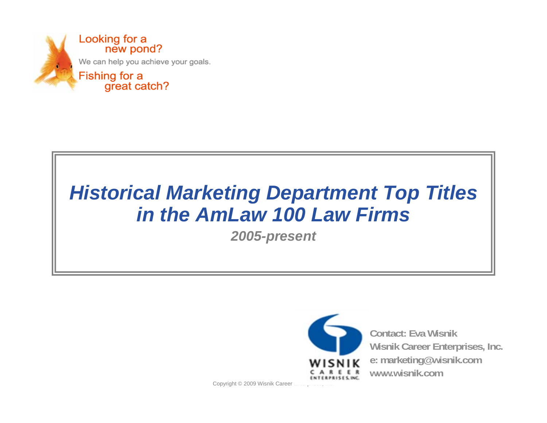

## *Historical Marketing Department Top Titles in the AmLaw 100 Law Firms*

*2005-present*



**Contact: Eva WisnikWisnik Career Enterprises, Inc. e: marketing@wisnik.com www.wisnik.com**

Copyright © 2009 Wisnik Career L........